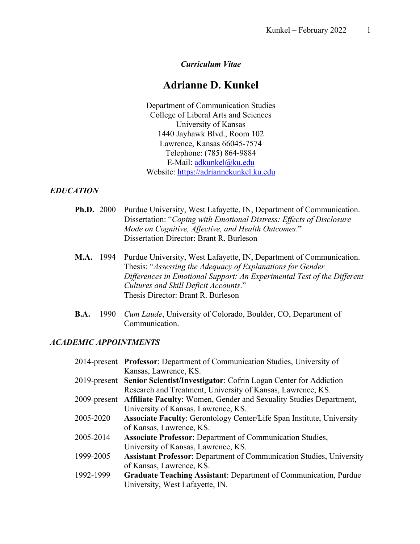## *Curriculum Vitae*

# **Adrianne D. Kunkel**

Department of Communication Studies College of Liberal Arts and Sciences University of Kansas 1440 Jayhawk Blvd., Room 102 Lawrence, Kansas 66045-7574 Telephone: (785) 864-9884 E-Mail: adkunkel@ku.edu Website: https://adriannekunkel.ku.edu

#### *EDUCATION*

- **Ph.D.** 2000 Purdue University, West Lafayette, IN, Department of Communication. Dissertation: "*Coping with Emotional Distress: Effects of Disclosure Mode on Cognitive, Affective, and Health Outcomes*." Dissertation Director: Brant R. Burleson
- **M.A.** 1994 Purdue University, West Lafayette, IN, Department of Communication. Thesis: "*Assessing the Adequacy of Explanations for Gender Differences in Emotional Support: An Experimental Test of the Different Cultures and Skill Deficit Accounts*." Thesis Director: Brant R. Burleson
- **B.A.** 1990 *Cum Laude*, University of Colorado, Boulder, CO, Department of Communication.

#### *ACADEMIC APPOINTMENTS*

|           | 2014-present Professor: Department of Communication Studies, University of      |
|-----------|---------------------------------------------------------------------------------|
|           | Kansas, Lawrence, KS.                                                           |
|           | 2019-present Senior Scientist/Investigator: Cofrin Logan Center for Addiction   |
|           | Research and Treatment, University of Kansas, Lawrence, KS.                     |
|           | 2009-present Affiliate Faculty: Women, Gender and Sexuality Studies Department, |
|           | University of Kansas, Lawrence, KS.                                             |
| 2005-2020 | <b>Associate Faculty:</b> Gerontology Center/Life Span Institute, University    |
|           | of Kansas, Lawrence, KS.                                                        |
| 2005-2014 | <b>Associate Professor:</b> Department of Communication Studies,                |
|           | University of Kansas, Lawrence, KS.                                             |
| 1999-2005 | <b>Assistant Professor:</b> Department of Communication Studies, University     |
|           | of Kansas, Lawrence, KS.                                                        |
| 1992-1999 | <b>Graduate Teaching Assistant: Department of Communication, Purdue</b>         |
|           | University, West Lafayette, IN.                                                 |
|           |                                                                                 |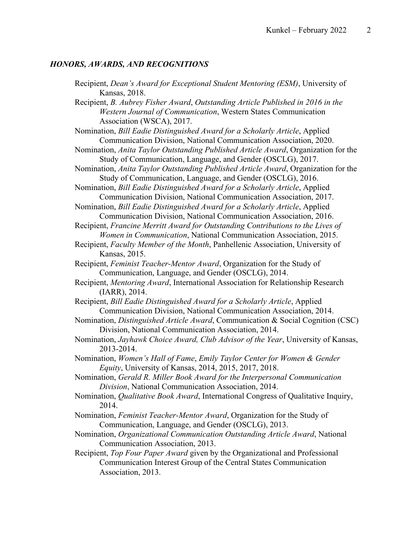# *HONORS, AWARDS, AND RECOGNITIONS*

| Recipient, Dean's Award for Exceptional Student Mentoring (ESM), University of<br>Kansas, 2018.                                                                                |
|--------------------------------------------------------------------------------------------------------------------------------------------------------------------------------|
| Recipient, B. Aubrey Fisher Award, Outstanding Article Published in 2016 in the<br>Western Journal of Communication, Western States Communication<br>Association (WSCA), 2017. |
| Nomination, Bill Eadie Distinguished Award for a Scholarly Article, Applied<br>Communication Division, National Communication Association, 2020.                               |
| Nomination, Anita Taylor Outstanding Published Article Award, Organization for the<br>Study of Communication, Language, and Gender (OSCLG), 2017.                              |
| Nomination, Anita Taylor Outstanding Published Article Award, Organization for the<br>Study of Communication, Language, and Gender (OSCLG), 2016.                              |
| Nomination, Bill Eadie Distinguished Award for a Scholarly Article, Applied<br>Communication Division, National Communication Association, 2017.                               |
| Nomination, Bill Eadie Distinguished Award for a Scholarly Article, Applied<br>Communication Division, National Communication Association, 2016.                               |
| Recipient, Francine Merritt Award for Outstanding Contributions to the Lives of<br>Women in Communication, National Communication Association, 2015.                           |
| Recipient, Faculty Member of the Month, Panhellenic Association, University of<br>Kansas, 2015.                                                                                |
| Recipient, Feminist Teacher-Mentor Award, Organization for the Study of<br>Communication, Language, and Gender (OSCLG), 2014.                                                  |
| Recipient, Mentoring Award, International Association for Relationship Research<br>(IARR), 2014.                                                                               |
| Recipient, Bill Eadie Distinguished Award for a Scholarly Article, Applied<br>Communication Division, National Communication Association, 2014.                                |
| Nomination, Distinguished Article Award, Communication & Social Cognition (CSC)<br>Division, National Communication Association, 2014.                                         |
| Nomination, Jayhawk Choice Award, Club Advisor of the Year, University of Kansas,<br>2013-2014.                                                                                |
| Nomination, Women's Hall of Fame, Emily Taylor Center for Women & Gender<br>Equity, University of Kansas, 2014, 2015, 2017, 2018.                                              |
| Nomination, Gerald R. Miller Book Award for the Interpersonal Communication<br>Division, National Communication Association, 2014.                                             |
| Nomination, <i>Qualitative Book Award</i> , International Congress of Qualitative Inquiry,<br>2014.                                                                            |
| Nomination, Feminist Teacher-Mentor Award, Organization for the Study of<br>Communication, Language, and Gender (OSCLG), 2013.                                                 |
| Nomination, Organizational Communication Outstanding Article Award, National<br>Communication Association, 2013.                                                               |
| Recipient, Top Four Paper Award given by the Organizational and Professional<br>Communication Interest Group of the Central States Communication<br>Association, 2013.         |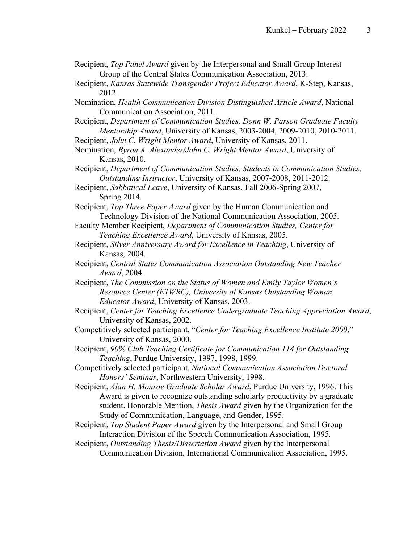- Recipient, *Top Panel Award* given by the Interpersonal and Small Group Interest Group of the Central States Communication Association, 2013.
- Recipient, *Kansas Statewide Transgender Project Educator Award*, K-Step, Kansas, 2012.
- Nomination, *Health Communication Division Distinguished Article Award*, National Communication Association, 2011.
- Recipient, *Department of Communication Studies, Donn W. Parson Graduate Faculty Mentorship Award*, University of Kansas, 2003-2004, 2009-2010, 2010-2011.
- Recipient, *John C. Wright Mentor Award*, University of Kansas, 2011.
- Nomination, *Byron A. Alexander/John C. Wright Mentor Award*, University of Kansas, 2010.
- Recipient, *Department of Communication Studies, Students in Communication Studies, Outstanding Instructor*, University of Kansas, 2007-2008, 2011-2012.
- Recipient, *Sabbatical Leave*, University of Kansas, Fall 2006-Spring 2007, Spring 2014.
- Recipient, *Top Three Paper Award* given by the Human Communication and Technology Division of the National Communication Association, 2005.
- Faculty Member Recipient, *Department of Communication Studies, Center for Teaching Excellence Award*, University of Kansas, 2005.
- Recipient, *Silver Anniversary Award for Excellence in Teaching*, University of Kansas, 2004.
- Recipient, *Central States Communication Association Outstanding New Teacher Award*, 2004.
- Recipient, *The Commission on the Status of Women and Emily Taylor Women's Resource Center (ETWRC), University of Kansas Outstanding Woman Educator Award*, University of Kansas, 2003.
- Recipient, *Center for Teaching Excellence Undergraduate Teaching Appreciation Award*, University of Kansas, 2002.
- Competitively selected participant, "*Center for Teaching Excellence Institute 2000*," University of Kansas, 2000.
- Recipient, *90% Club Teaching Certificate for Communication 114 for Outstanding Teaching*, Purdue University, 1997, 1998, 1999.
- Competitively selected participant, *National Communication Association Doctoral Honors' Seminar*, Northwestern University, 1998.
- Recipient, *Alan H. Monroe Graduate Scholar Award*, Purdue University, 1996. This Award is given to recognize outstanding scholarly productivity by a graduate student. Honorable Mention, *Thesis Award* given by the Organization for the Study of Communication, Language, and Gender, 1995.
- Recipient, *Top Student Paper Award* given by the Interpersonal and Small Group Interaction Division of the Speech Communication Association, 1995.
- Recipient, *Outstanding Thesis/Dissertation Award* given by the Interpersonal Communication Division, International Communication Association, 1995.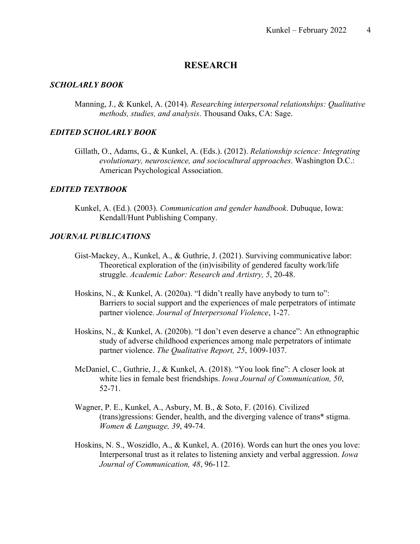# **RESEARCH**

#### *SCHOLARLY BOOK*

Manning, J., & Kunkel, A. (2014). *Researching interpersonal relationships: Qualitative methods, studies, and analysis*. Thousand Oaks, CA: Sage.

### *EDITED SCHOLARLY BOOK*

Gillath, O., Adams, G., & Kunkel, A. (Eds.). (2012). *Relationship science: Integrating evolutionary, neuroscience, and sociocultural approaches*. Washington D.C.: American Psychological Association.

### *EDITED TEXTBOOK*

Kunkel, A. (Ed.). (2003). *Communication and gender handbook*. Dubuque, Iowa: Kendall/Hunt Publishing Company.

#### *JOURNAL PUBLICATIONS*

- Gist-Mackey, A., Kunkel, A., & Guthrie, J. (2021). Surviving communicative labor: Theoretical exploration of the (in)visibility of gendered faculty work/life struggle. *Academic Labor: Research and Artistry, 5*, 20-48.
- Hoskins, N., & Kunkel, A. (2020a). "I didn't really have anybody to turn to": Barriers to social support and the experiences of male perpetrators of intimate partner violence. *Journal of Interpersonal Violence*, 1-27.
- Hoskins, N., & Kunkel, A. (2020b). "I don't even deserve a chance": An ethnographic study of adverse childhood experiences among male perpetrators of intimate partner violence. *The Qualitative Report, 25*, 1009-1037.
- McDaniel, C., Guthrie, J., & Kunkel, A. (2018). "You look fine": A closer look at white lies in female best friendships. *Iowa Journal of Communication, 50*, 52-71.
- Wagner, P. E., Kunkel, A., Asbury, M. B., & Soto, F. (2016). Civilized (trans)gressions: Gender, health, and the diverging valence of trans\* stigma. *Women & Language, 39*, 49-74.
- Hoskins, N. S., Woszidlo, A., & Kunkel, A. (2016). Words can hurt the ones you love: Interpersonal trust as it relates to listening anxiety and verbal aggression. *Iowa Journal of Communication, 48*, 96-112.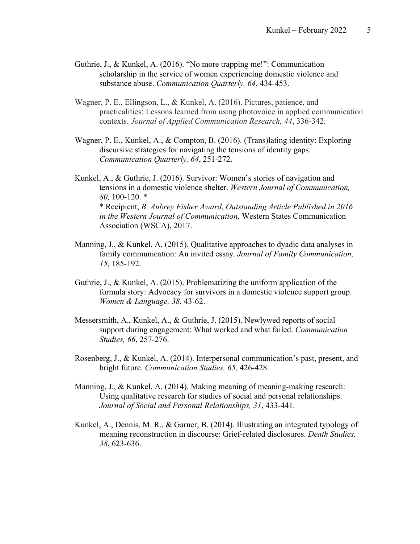- Guthrie, J., & Kunkel, A. (2016). "No more trapping me!": Communication scholarship in the service of women experiencing domestic violence and substance abuse. *Communication Quarterly, 64*, 434-453.
- Wagner, P. E., Ellingson, L., & Kunkel, A. (2016). Pictures, patience, and practicalities: Lessons learned from using photovoice in applied communication contexts. *Journal of Applied Communication Research, 44*, 336-342.
- Wagner, P. E., Kunkel, A., & Compton, B. (2016). (Trans)lating identity: Exploring discursive strategies for navigating the tensions of identity gaps. *Communication Quarterly, 64*, 251-272.

Kunkel, A., & Guthrie, J. (2016). Survivor: Women's stories of navigation and tensions in a domestic violence shelter. *Western Journal of Communication, 80,* 100-120. \* \* Recipient, *B. Aubrey Fisher Award*, *Outstanding Article Published in 2016 in the Western Journal of Communication*, Western States Communication Association (WSCA), 2017.

- Manning, J., & Kunkel, A. (2015). Qualitative approaches to dyadic data analyses in family communication: An invited essay. *Journal of Family Communication, 15*, 185-192.
- Guthrie, J., & Kunkel, A. (2015). Problematizing the uniform application of the formula story: Advocacy for survivors in a domestic violence support group. *Women & Language, 38*, 43-62.
- Messersmith, A., Kunkel, A., & Guthrie, J. (2015). Newlywed reports of social support during engagement: What worked and what failed. *Communication Studies, 66*, 257-276.
- Rosenberg, J., & Kunkel, A. (2014). Interpersonal communication's past, present, and bright future. *Communication Studies, 65*, 426-428.
- Manning, J., & Kunkel, A. (2014). Making meaning of meaning-making research: Using qualitative research for studies of social and personal relationships. *Journal of Social and Personal Relationships, 31*, 433-441.
- Kunkel, A., Dennis, M. R., & Garner, B. (2014). Illustrating an integrated typology of meaning reconstruction in discourse: Grief-related disclosures. *Death Studies, 38*, 623-636.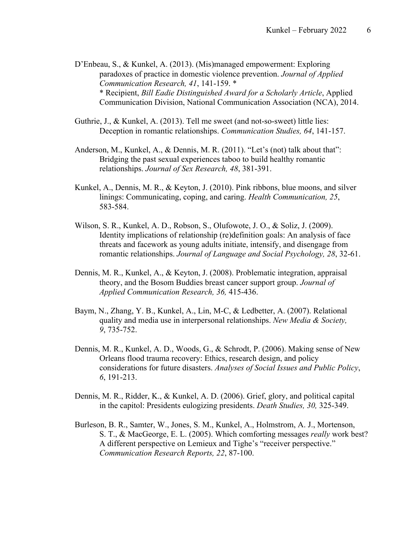D'Enbeau, S., & Kunkel, A. (2013). (Mis)managed empowerment: Exploring paradoxes of practice in domestic violence prevention. *Journal of Applied Communication Research, 41*, 141-159. \* \* Recipient, *Bill Eadie Distinguished Award for a Scholarly Article*, Applied Communication Division, National Communication Association (NCA), 2014.

- Guthrie, J., & Kunkel, A. (2013). Tell me sweet (and not-so-sweet) little lies: Deception in romantic relationships. *Communication Studies, 64*, 141-157.
- Anderson, M., Kunkel, A., & Dennis, M. R. (2011). "Let's (not) talk about that": Bridging the past sexual experiences taboo to build healthy romantic relationships. *Journal of Sex Research, 48*, 381-391.
- Kunkel, A., Dennis, M. R., & Keyton, J. (2010). Pink ribbons, blue moons, and silver linings: Communicating, coping, and caring. *Health Communication, 25*, 583-584.
- Wilson, S. R., Kunkel, A. D., Robson, S., Olufowote, J. O., & Soliz, J. (2009). Identity implications of relationship (re)definition goals: An analysis of face threats and facework as young adults initiate, intensify, and disengage from romantic relationships. *Journal of Language and Social Psychology, 28*, 32-61.
- Dennis, M. R., Kunkel, A., & Keyton, J. (2008). Problematic integration, appraisal theory, and the Bosom Buddies breast cancer support group. *Journal of Applied Communication Research, 36,* 415-436.
- Baym, N., Zhang, Y. B., Kunkel, A., Lin, M-C, & Ledbetter, A. (2007). Relational quality and media use in interpersonal relationships. *New Media & Society, 9*, 735-752.
- Dennis, M. R., Kunkel, A. D., Woods, G., & Schrodt, P. (2006). Making sense of New Orleans flood trauma recovery: Ethics, research design, and policy considerations for future disasters. *Analyses of Social Issues and Public Policy*, *6*, 191-213.
- Dennis, M. R., Ridder, K., & Kunkel, A. D. (2006). Grief, glory, and political capital in the capitol: Presidents eulogizing presidents. *Death Studies, 30,* 325-349.
- Burleson, B. R., Samter, W., Jones, S. M., Kunkel, A., Holmstrom, A. J., Mortenson, S. T., & MacGeorge, E. L. (2005). Which comforting messages *really* work best? A different perspective on Lemieux and Tighe's "receiver perspective." *Communication Research Reports, 22*, 87-100.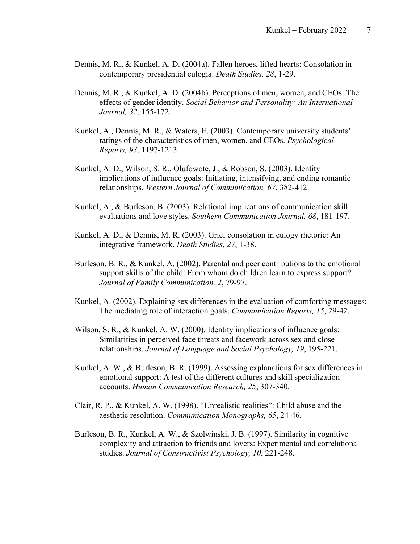- Dennis, M. R., & Kunkel, A. D. (2004a). Fallen heroes, lifted hearts: Consolation in contemporary presidential eulogia. *Death Studies, 28*, 1-29.
- Dennis, M. R., & Kunkel, A. D. (2004b). Perceptions of men, women, and CEOs: The effects of gender identity. *Social Behavior and Personality: An International Journal, 32*, 155-172.
- Kunkel, A., Dennis, M. R., & Waters, E. (2003). Contemporary university students' ratings of the characteristics of men, women, and CEOs. *Psychological Reports, 93*, 1197-1213.
- Kunkel, A. D., Wilson, S. R., Olufowote, J., & Robson, S. (2003). Identity implications of influence goals: Initiating, intensifying, and ending romantic relationships. *Western Journal of Communication, 67*, 382-412.
- Kunkel, A., & Burleson, B. (2003). Relational implications of communication skill evaluations and love styles. *Southern Communication Journal, 68*, 181-197.
- Kunkel, A. D., & Dennis, M. R. (2003). Grief consolation in eulogy rhetoric: An integrative framework. *Death Studies, 27*, 1-38.
- Burleson, B. R., & Kunkel, A. (2002). Parental and peer contributions to the emotional support skills of the child: From whom do children learn to express support? *Journal of Family Communication, 2*, 79-97.
- Kunkel, A. (2002). Explaining sex differences in the evaluation of comforting messages: The mediating role of interaction goals. *Communication Reports, 15*, 29-42.
- Wilson, S. R., & Kunkel, A. W. (2000). Identity implications of influence goals: Similarities in perceived face threats and facework across sex and close relationships. *Journal of Language and Social Psychology, 19*, 195-221.
- Kunkel, A. W., & Burleson, B. R. (1999). Assessing explanations for sex differences in emotional support: A test of the different cultures and skill specialization accounts. *Human Communication Research, 25*, 307-340.
- Clair, R. P., & Kunkel, A. W. (1998). "Unrealistic realities": Child abuse and the aesthetic resolution. *Communication Monographs, 65*, 24-46.
- Burleson, B. R., Kunkel, A. W., & Szolwinski, J. B. (1997). Similarity in cognitive complexity and attraction to friends and lovers: Experimental and correlational studies. *Journal of Constructivist Psychology, 10*, 221-248.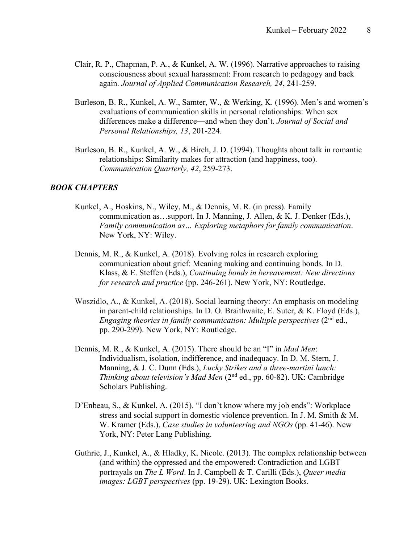- Clair, R. P., Chapman, P. A., & Kunkel, A. W. (1996). Narrative approaches to raising consciousness about sexual harassment: From research to pedagogy and back again. *Journal of Applied Communication Research, 24*, 241-259.
- Burleson, B. R., Kunkel, A. W., Samter, W., & Werking, K. (1996). Men's and women's evaluations of communication skills in personal relationships: When sex differences make a difference—and when they don't. *Journal of Social and Personal Relationships, 13*, 201-224.
- Burleson, B. R., Kunkel, A. W., & Birch, J. D. (1994). Thoughts about talk in romantic relationships: Similarity makes for attraction (and happiness, too). *Communication Quarterly, 42*, 259-273.

### *BOOK CHAPTERS*

- Kunkel, A., Hoskins, N., Wiley, M., & Dennis, M. R. (in press). Family communication as…support. In J. Manning, J. Allen, & K. J. Denker (Eds.), *Family communication as… Exploring metaphors for family communication*. New York, NY: Wiley.
- Dennis, M. R., & Kunkel, A. (2018). Evolving roles in research exploring communication about grief: Meaning making and continuing bonds. In D. Klass, & E. Steffen (Eds.), *Continuing bonds in bereavement: New directions for research and practice* (pp. 246-261). New York, NY: Routledge.
- Woszidlo, A., & Kunkel, A. (2018). Social learning theory: An emphasis on modeling in parent-child relationships. In D. O. Braithwaite, E. Suter, & K. Floyd (Eds.), *Engaging theories in family communication: Multiple perspectives* (2<sup>nd</sup> ed., pp. 290-299). New York, NY: Routledge.
- Dennis, M. R., & Kunkel, A. (2015). There should be an "I" in *Mad Men*: Individualism, isolation, indifference, and inadequacy. In D. M. Stern, J. Manning, & J. C. Dunn (Eds.), *Lucky Strikes and a three-martini lunch: Thinking about television's Mad Men* (2nd ed., pp. 60-82). UK: Cambridge Scholars Publishing.
- D'Enbeau, S., & Kunkel, A. (2015). "I don't know where my job ends": Workplace stress and social support in domestic violence prevention. In J. M. Smith & M. W. Kramer (Eds.), *Case studies in volunteering and NGOs* (pp. 41-46). New York, NY: Peter Lang Publishing.
- Guthrie, J., Kunkel, A., & Hladky, K. Nicole. (2013). The complex relationship between (and within) the oppressed and the empowered: Contradiction and LGBT portrayals on *The L Word*. In J. Campbell & T. Carilli (Eds.), *Queer media images: LGBT perspectives* (pp. 19-29). UK: Lexington Books.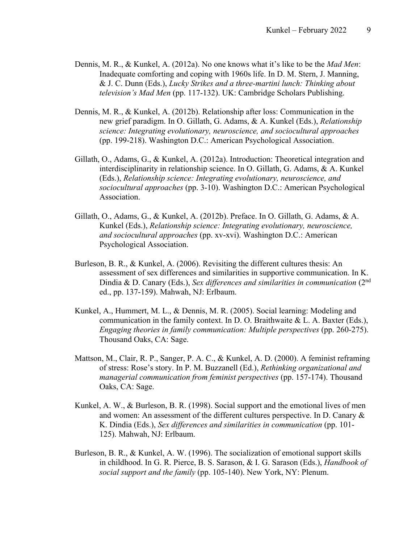- Dennis, M. R., & Kunkel, A. (2012a). No one knows what it's like to be the *Mad Men*: Inadequate comforting and coping with 1960s life. In D. M. Stern, J. Manning, & J. C. Dunn (Eds.), *Lucky Strikes and a three-martini lunch: Thinking about television's Mad Men* (pp. 117-132). UK: Cambridge Scholars Publishing.
- Dennis, M. R., & Kunkel, A. (2012b). Relationship after loss: Communication in the new grief paradigm. In O. Gillath, G. Adams, & A. Kunkel (Eds.), *Relationship science: Integrating evolutionary, neuroscience, and sociocultural approaches* (pp. 199-218). Washington D.C.: American Psychological Association.
- Gillath, O., Adams, G., & Kunkel, A. (2012a). Introduction: Theoretical integration and interdisciplinarity in relationship science. In O. Gillath, G. Adams, & A. Kunkel (Eds.), *Relationship science: Integrating evolutionary, neuroscience, and sociocultural approaches* (pp. 3-10). Washington D.C.: American Psychological Association.
- Gillath, O., Adams, G., & Kunkel, A. (2012b). Preface. In O. Gillath, G. Adams, & A. Kunkel (Eds.), *Relationship science: Integrating evolutionary, neuroscience, and sociocultural approaches* (pp. xv-xvi). Washington D.C.: American Psychological Association.
- Burleson, B. R., & Kunkel, A. (2006). Revisiting the different cultures thesis: An assessment of sex differences and similarities in supportive communication. In K. Dindia & D. Canary (Eds.), *Sex differences and similarities in communication* (2nd ed., pp. 137-159). Mahwah, NJ: Erlbaum.
- Kunkel, A., Hummert, M. L., & Dennis, M. R. (2005). Social learning: Modeling and communication in the family context. In D. O. Braithwaite  $\&$  L. A. Baxter (Eds.), *Engaging theories in family communication: Multiple perspectives* (pp. 260-275). Thousand Oaks, CA: Sage.
- Mattson, M., Clair, R. P., Sanger, P. A. C., & Kunkel, A. D. (2000). A feminist reframing of stress: Rose's story. In P. M. Buzzanell (Ed.), *Rethinking organizational and managerial communication from feminist perspectives* (pp. 157-174). Thousand Oaks, CA: Sage.
- Kunkel, A. W., & Burleson, B. R. (1998). Social support and the emotional lives of men and women: An assessment of the different cultures perspective. In D. Canary & K. Dindia (Eds.), *Sex differences and similarities in communication* (pp. 101- 125). Mahwah, NJ: Erlbaum.
- Burleson, B. R., & Kunkel, A. W. (1996). The socialization of emotional support skills in childhood. In G. R. Pierce, B. S. Sarason, & I. G. Sarason (Eds.), *Handbook of social support and the family* (pp. 105-140). New York, NY: Plenum.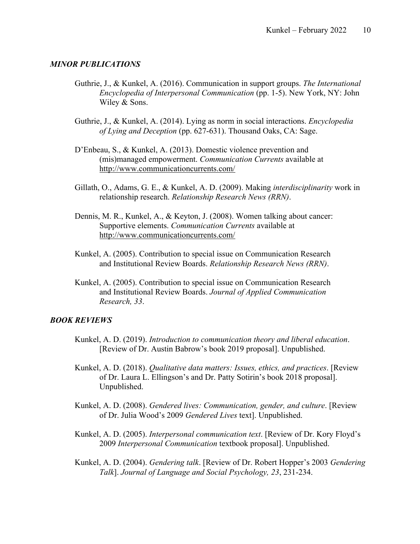#### *MINOR PUBLICATIONS*

- Guthrie, J., & Kunkel, A. (2016). Communication in support groups. *The International Encyclopedia of Interpersonal Communication* (pp. 1-5). New York, NY: John Wiley & Sons.
- Guthrie, J., & Kunkel, A. (2014). Lying as norm in social interactions. *Encyclopedia of Lying and Deception* (pp. 627-631). Thousand Oaks, CA: Sage.
- D'Enbeau, S., & Kunkel, A. (2013). Domestic violence prevention and (mis)managed empowerment. *Communication Currents* available at http://www.communicationcurrents.com/
- Gillath, O., Adams, G. E., & Kunkel, A. D. (2009). Making *interdisciplinarity* work in relationship research. *Relationship Research News (RRN)*.
- Dennis, M. R., Kunkel, A., & Keyton, J. (2008). Women talking about cancer: Supportive elements. *Communication Currents* available at http://www.communicationcurrents.com/
- Kunkel, A. (2005). Contribution to special issue on Communication Research and Institutional Review Boards. *Relationship Research News (RRN)*.
- Kunkel, A. (2005). Contribution to special issue on Communication Research and Institutional Review Boards. *Journal of Applied Communication Research, 33*.

#### *BOOK REVIEWS*

- Kunkel, A. D. (2019). *Introduction to communication theory and liberal education*. [Review of Dr. Austin Babrow's book 2019 proposal]. Unpublished.
- Kunkel, A. D. (2018). *Qualitative data matters: Issues, ethics, and practices*. [Review of Dr. Laura L. Ellingson's and Dr. Patty Sotirin's book 2018 proposal]. Unpublished.
- Kunkel, A. D. (2008). *Gendered lives: Communication, gender, and culture*. [Review of Dr. Julia Wood's 2009 *Gendered Lives* text]. Unpublished.
- Kunkel, A. D. (2005). *Interpersonal communication text*. [Review of Dr. Kory Floyd's 2009 *Interpersonal Communication* textbook proposal]. Unpublished.
- Kunkel, A. D. (2004). *Gendering talk*. [Review of Dr. Robert Hopper's 2003 *Gendering Talk*]. *Journal of Language and Social Psychology, 23*, 231-234.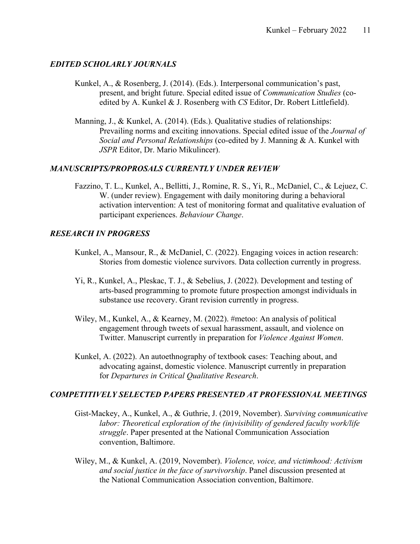### *EDITED SCHOLARLY JOURNALS*

- Kunkel, A., & Rosenberg, J. (2014). (Eds.). Interpersonal communication's past, present, and bright future. Special edited issue of *Communication Studies* (coedited by A. Kunkel & J. Rosenberg with *CS* Editor, Dr. Robert Littlefield).
- Manning, J., & Kunkel, A. (2014). (Eds.). Qualitative studies of relationships: Prevailing norms and exciting innovations. Special edited issue of the *Journal of Social and Personal Relationships* (co-edited by J. Manning & A. Kunkel with *JSPR* Editor, Dr. Mario Mikulincer).

### *MANUSCRIPTS/PROPROSALS CURRENTLY UNDER REVIEW*

Fazzino, T. L., Kunkel, A., Bellitti, J., Romine, R. S., Yi, R., McDaniel, C., & Lejuez, C. W. (under review). Engagement with daily monitoring during a behavioral activation intervention: A test of monitoring format and qualitative evaluation of participant experiences. *Behaviour Change*.

#### *RESEARCH IN PROGRESS*

- Kunkel, A., Mansour, R., & McDaniel, C. (2022). Engaging voices in action research: Stories from domestic violence survivors. Data collection currently in progress.
- Yi, R., Kunkel, A., Pleskac, T. J., & Sebelius, J. (2022). Development and testing of arts-based programming to promote future prospection amongst individuals in substance use recovery. Grant revision currently in progress.
- Wiley, M., Kunkel, A., & Kearney, M. (2022). #metoo: An analysis of political engagement through tweets of sexual harassment, assault, and violence on Twitter. Manuscript currently in preparation for *Violence Against Women*.
- Kunkel, A. (2022). An autoethnography of textbook cases: Teaching about, and advocating against, domestic violence. Manuscript currently in preparation for *Departures in Critical Qualitative Research*.

### *COMPETITIVELY SELECTED PAPERS PRESENTED AT PROFESSIONAL MEETINGS*

- Gist-Mackey, A., Kunkel, A., & Guthrie, J. (2019, November). *Surviving communicative labor: Theoretical exploration of the (in)visibility of gendered faculty work/life struggle*. Paper presented at the National Communication Association convention, Baltimore.
- Wiley, M., & Kunkel, A. (2019, November). *Violence, voice, and victimhood: Activism and social justice in the face of survivorship*. Panel discussion presented at the National Communication Association convention, Baltimore.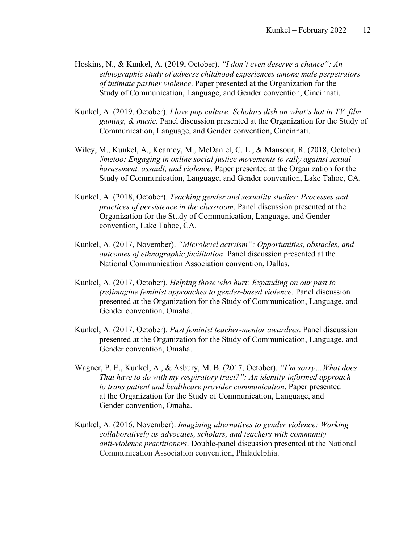- Hoskins, N., & Kunkel, A. (2019, October). *"I don't even deserve a chance": An ethnographic study of adverse childhood experiences among male perpetrators of intimate partner violence*. Paper presented at the Organization for the Study of Communication, Language, and Gender convention, Cincinnati.
- Kunkel, A. (2019, October). *I love pop culture: Scholars dish on what's hot in TV, film, gaming, & music*. Panel discussion presented at the Organization for the Study of Communication, Language, and Gender convention, Cincinnati.
- Wiley, M., Kunkel, A., Kearney, M., McDaniel, C. L., & Mansour, R. (2018, October). *#metoo: Engaging in online social justice movements to rally against sexual harassment, assault, and violence*. Paper presented at the Organization for the Study of Communication, Language, and Gender convention, Lake Tahoe, CA.
- Kunkel, A. (2018, October). *Teaching gender and sexuality studies: Processes and practices of persistence in the classroom*. Panel discussion presented at the Organization for the Study of Communication, Language, and Gender convention, Lake Tahoe, CA.
- Kunkel, A. (2017, November). *"Microlevel activism": Opportunities, obstacles, and outcomes of ethnographic facilitation*. Panel discussion presented at the National Communication Association convention, Dallas.
- Kunkel, A. (2017, October). *Helping those who hurt: Expanding on our past to (re)imagine feminist approaches to gender-based violence*. Panel discussion presented at the Organization for the Study of Communication, Language, and Gender convention, Omaha.
- Kunkel, A. (2017, October). *Past feminist teacher-mentor awardees*. Panel discussion presented at the Organization for the Study of Communication, Language, and Gender convention, Omaha.
- Wagner, P. E., Kunkel, A., & Asbury, M. B. (2017, October). *"I'm sorry…What does That have to do with my respiratory tract?": An identity-informed approach to trans patient and healthcare provider communication*. Paper presented at the Organization for the Study of Communication, Language, and Gender convention, Omaha.
- Kunkel, A. (2016, November). *Imagining alternatives to gender violence: Working collaboratively as advocates, scholars, and teachers with community anti-violence practitioners*. Double-panel discussion presented at the National Communication Association convention, Philadelphia.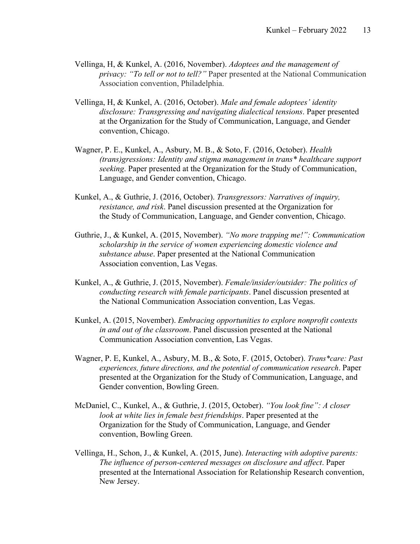- Vellinga, H, & Kunkel, A. (2016, November). *Adoptees and the management of privacy: "To tell or not to tell?"* Paper presented at the National Communication Association convention, Philadelphia.
- Vellinga, H, & Kunkel, A. (2016, October). *Male and female adoptees' identity disclosure: Transgressing and navigating dialectical tensions*. Paper presented at the Organization for the Study of Communication, Language, and Gender convention, Chicago.
- Wagner, P. E., Kunkel, A., Asbury, M. B., & Soto, F. (2016, October). *Health (trans)gressions: Identity and stigma management in trans\* healthcare support seeking*. Paper presented at the Organization for the Study of Communication, Language, and Gender convention, Chicago.
- Kunkel, A., & Guthrie, J. (2016, October). *Transgressors: Narratives of inquiry, resistance, and risk*. Panel discussion presented at the Organization for the Study of Communication, Language, and Gender convention, Chicago.
- Guthrie, J., & Kunkel, A. (2015, November). *"No more trapping me!": Communication scholarship in the service of women experiencing domestic violence and substance abuse*. Paper presented at the National Communication Association convention, Las Vegas.
- Kunkel, A., & Guthrie, J. (2015, November). *Female/insider/outsider: The politics of conducting research with female participants*. Panel discussion presented at the National Communication Association convention, Las Vegas.
- Kunkel, A. (2015, November). *Embracing opportunities to explore nonprofit contexts in and out of the classroom*. Panel discussion presented at the National Communication Association convention, Las Vegas.
- Wagner, P. E, Kunkel, A., Asbury, M. B., & Soto, F. (2015, October). *Trans\*care: Past experiences, future directions, and the potential of communication research*. Paper presented at the Organization for the Study of Communication, Language, and Gender convention, Bowling Green.
- McDaniel, C., Kunkel, A., & Guthrie, J. (2015, October). *"You look fine": A closer look at white lies in female best friendships*. Paper presented at the Organization for the Study of Communication, Language, and Gender convention, Bowling Green.
- Vellinga, H., Schon, J., & Kunkel, A. (2015, June). *Interacting with adoptive parents: The influence of person-centered messages on disclosure and affect*. Paper presented at the International Association for Relationship Research convention, New Jersey.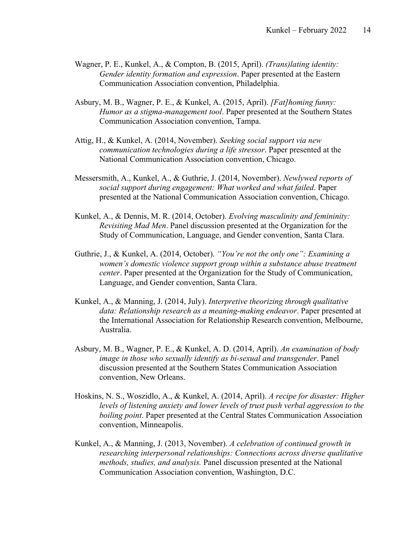- Wagner, P. E., Kunkel, A., & Compton, B. (2015, April). *(Trans)lating identity: Gender identity formation and expression*. Paper presented at the Eastern Communication Association convention, Philadelphia.
- Asbury, M. B., Wagner, P. E., & Kunkel, A. (2015, April). *[Fat]homing funny: Humor as a stigma-management tool*. Paper presented at the Southern States Communication Association convention, Tampa.
- Attig, H., & Kunkel, A. (2014, November). *Seeking social support via new communication technologies during a life stressor*. Paper presented at the National Communication Association convention, Chicago.
- Messersmith, A., Kunkel, A., & Guthrie, J. (2014, November). *Newlywed reports of social support during engagement: What worked and what failed*. Paper presented at the National Communication Association convention, Chicago.
- Kunkel, A., & Dennis, M. R. (2014, October). *Evolving masculinity and femininity: Revisiting Mad Men*. Panel discussion presented at the Organization for the Study of Communication, Language, and Gender convention, Santa Clara.
- Guthrie, J., & Kunkel, A. (2014, October). *"You're not the only one": Examining a women's domestic violence support group within a substance abuse treatment center*. Paper presented at the Organization for the Study of Communication, Language, and Gender convention, Santa Clara.
- Kunkel, A., & Manning, J. (2014, July). *Interpretive theorizing through qualitative data: Relationship research as a meaning-making endeavor*. Paper presented at the International Association for Relationship Research convention, Melbourne, Australia.
- Asbury, M. B., Wagner, P. E., & Kunkel, A. D. (2014, April). *An examination of body image in those who sexually identify as bi-sexual and transgender*. Panel discussion presented at the Southern States Communication Association convention, New Orleans.
- Hoskins, N. S., Woszidlo, A., & Kunkel, A. (2014, April). *A recipe for disaster: Higher levels of listening anxiety and lower levels of trust push verbal aggression to the boiling point*. Paper presented at the Central States Communication Association convention, Minneapolis.
- Kunkel, A., & Manning, J. (2013, November). *A celebration of continued growth in researching interpersonal relationships: Connections across diverse qualitative methods, studies, and analysis.* Panel discussion presented at the National Communication Association convention, Washington, D.C.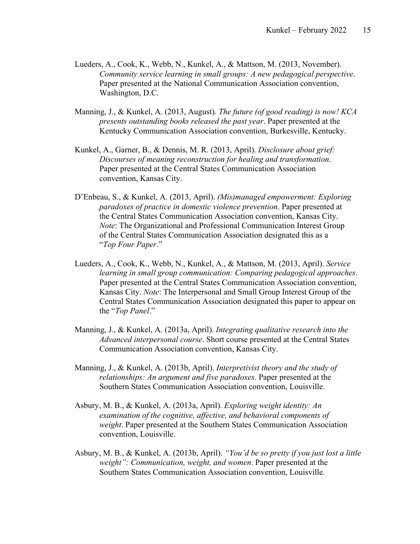- Lueders, A., Cook, K., Webb, N., Kunkel, A., & Mattson, M. (2013, November). *Community service learning in small groups: A new pedagogical perspective*. Paper presented at the National Communication Association convention, Washington, D.C.
- Manning, J., & Kunkel, A. (2013, August). *The future (of good reading) is now! KCA presents outstanding books released the past year*. Paper presented at the Kentucky Communication Association convention, Burkesville, Kentucky.
- Kunkel, A., Garner, B., & Dennis, M. R. (2013, April). *Disclosure about grief: Discourses of meaning reconstruction for healing and transformation*. Paper presented at the Central States Communication Association convention, Kansas City.
- D'Enbeau, S., & Kunkel, A. (2013, April). *(Mis)managed empowerment: Exploring paradoxes of practice in domestic violence prevention*. Paper presented at the Central States Communication Association convention, Kansas City. *Note*: The Organizational and Professional Communication Interest Group of the Central States Communication Association designated this as a "*Top Four Paper*."
- Lueders, A., Cook, K., Webb, N., Kunkel, A., & Mattson, M. (2013, April). *Service learning in small group communication: Comparing pedagogical approaches*. Paper presented at the Central States Communication Association convention, Kansas City. *Note*: The Interpersonal and Small Group Interest Group of the Central States Communication Association designated this paper to appear on the "*Top Panel*."
- Manning, J., & Kunkel, A. (2013a, April). *Integrating qualitative research into the Advanced interpersonal course*. Short course presented at the Central States Communication Association convention, Kansas City.
- Manning, J., & Kunkel, A. (2013b, April). *Interpretivist theory and the study of relationships: An argument and five paradoxes*. Paper presented at the Southern States Communication Association convention, Louisville.
- Asbury, M. B., & Kunkel, A. (2013a, April). *Exploring weight identity: An examination of the cognitive, affective, and behavioral components of weight*. Paper presented at the Southern States Communication Association convention, Louisville.
- Asbury, M. B., & Kunkel, A. (2013b, April). *"You'd be so pretty if you just lost a little weight": Communication, weight, and women*. Paper presented at the Southern States Communication Association convention, Louisville.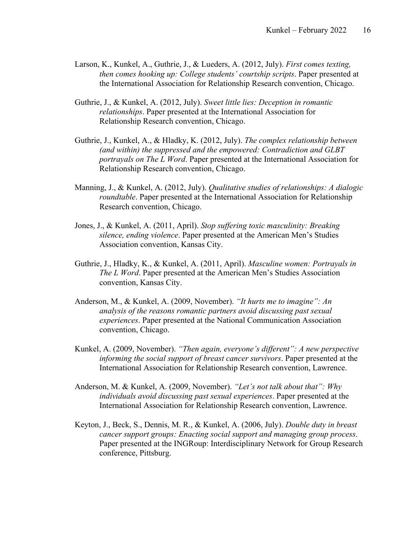- Larson, K., Kunkel, A., Guthrie, J., & Lueders, A. (2012, July). *First comes texting, then comes hooking up: College students' courtship scripts*. Paper presented at the International Association for Relationship Research convention, Chicago.
- Guthrie, J., & Kunkel, A. (2012, July). *Sweet little lies: Deception in romantic relationships*. Paper presented at the International Association for Relationship Research convention, Chicago.
- Guthrie, J., Kunkel, A., & Hladky, K. (2012, July). *The complex relationship between (and within) the suppressed and the empowered: Contradiction and GLBT portrayals on The L Word*. Paper presented at the International Association for Relationship Research convention, Chicago.
- Manning, J., & Kunkel, A. (2012, July). *Qualitative studies of relationships: A dialogic roundtable*. Paper presented at the International Association for Relationship Research convention, Chicago.
- Jones, J., & Kunkel, A. (2011, April). *Stop suffering toxic masculinity: Breaking silence, ending violence*. Paper presented at the American Men's Studies Association convention, Kansas City.
- Guthrie, J., Hladky, K., & Kunkel, A. (2011, April). *Masculine women: Portrayals in The L Word*. Paper presented at the American Men's Studies Association convention, Kansas City.
- Anderson, M., & Kunkel, A. (2009, November). *"It hurts me to imagine": An analysis of the reasons romantic partners avoid discussing past sexual experiences*. Paper presented at the National Communication Association convention, Chicago.
- Kunkel, A. (2009, November). *"Then again, everyone's different": A new perspective informing the social support of breast cancer survivors*. Paper presented at the International Association for Relationship Research convention, Lawrence.
- Anderson, M. & Kunkel, A. (2009, November). *"Let's not talk about that": Why individuals avoid discussing past sexual experiences*. Paper presented at the International Association for Relationship Research convention, Lawrence.
- Keyton, J., Beck, S., Dennis, M. R., & Kunkel, A. (2006, July). *Double duty in breast cancer support groups: Enacting social support and managing group process*. Paper presented at the INGRoup: Interdisciplinary Network for Group Research conference, Pittsburg.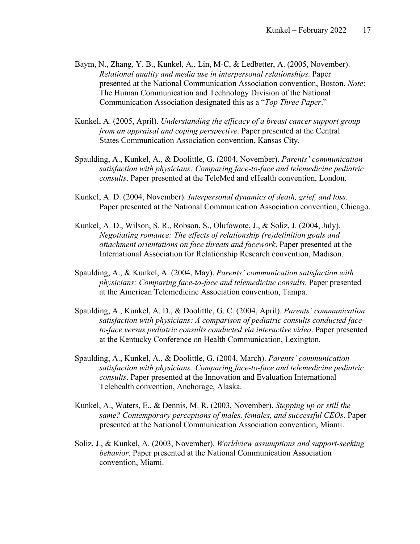- Baym, N., Zhang, Y. B., Kunkel, A., Lin, M-C, & Ledbetter, A. (2005, November). *Relational quality and media use in interpersonal relationships*. Paper presented at the National Communication Association convention, Boston. *Note*: The Human Communication and Technology Division of the National Communication Association designated this as a "*Top Three Paper*."
- Kunkel, A. (2005, April). *Understanding the efficacy of a breast cancer support group from an appraisal and coping perspective*. Paper presented at the Central States Communication Association convention, Kansas City.
- Spaulding, A., Kunkel, A., & Doolittle, G. (2004, November). *Parents' communication satisfaction with physicians: Comparing face-to-face and telemedicine pediatric consults*. Paper presented at the TeleMed and eHealth convention, London.
- Kunkel, A. D. (2004, November). *Interpersonal dynamics of death, grief, and loss*. Paper presented at the National Communication Association convention, Chicago.
- Kunkel, A. D., Wilson, S. R., Robson, S., Olufowote, J., & Soliz, J. (2004, July). *Negotiating romance: The effects of relationship (re)definition goals and attachment orientations on face threats and facework*. Paper presented at the International Association for Relationship Research convention, Madison.
- Spaulding, A., & Kunkel, A. (2004, May). *Parents' communication satisfaction with physicians: Comparing face-to-face and telemedicine consults*. Paper presented at the American Telemedicine Association convention, Tampa.
- Spaulding, A., Kunkel, A. D., & Doolittle, G. C. (2004, April). *Parents' communication satisfaction with physicians: A comparison of pediatric consults conducted faceto-face versus pediatric consults conducted via interactive video*. Paper presented at the Kentucky Conference on Health Communication, Lexington.
- Spaulding, A., Kunkel, A., & Doolittle, G. (2004, March). *Parents' communication satisfaction with physicians: Comparing face-to-face and telemedicine pediatric consults*. Paper presented at the Innovation and Evaluation International Telehealth convention, Anchorage, Alaska.
- Kunkel, A., Waters, E., & Dennis, M. R. (2003, November). *Stepping up or still the same? Contemporary perceptions of males, females, and successful CEOs*. Paper presented at the National Communication Association convention, Miami.
- Soliz, J., & Kunkel, A. (2003, November). *Worldview assumptions and support-seeking behavior*. Paper presented at the National Communication Association convention, Miami.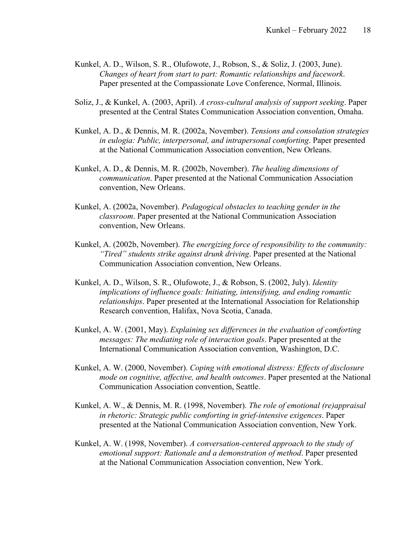- Kunkel, A. D., Wilson, S. R., Olufowote, J., Robson, S., & Soliz, J. (2003, June). *Changes of heart from start to part: Romantic relationships and facework*. Paper presented at the Compassionate Love Conference, Normal, Illinois.
- Soliz, J., & Kunkel, A. (2003, April). *A cross-cultural analysis of support seeking*. Paper presented at the Central States Communication Association convention, Omaha.
- Kunkel, A. D., & Dennis, M. R. (2002a, November). *Tensions and consolation strategies in eulogia: Public, interpersonal, and intrapersonal comforting*. Paper presented at the National Communication Association convention, New Orleans.
- Kunkel, A. D., & Dennis, M. R. (2002b, November). *The healing dimensions of communication*. Paper presented at the National Communication Association convention, New Orleans.
- Kunkel, A. (2002a, November). *Pedagogical obstacles to teaching gender in the classroom*. Paper presented at the National Communication Association convention, New Orleans.
- Kunkel, A. (2002b, November). *The energizing force of responsibility to the community: "Tired" students strike against drunk driving*. Paper presented at the National Communication Association convention, New Orleans.
- Kunkel, A. D., Wilson, S. R., Olufowote, J., & Robson, S. (2002, July). *Identity implications of influence goals: Initiating, intensifying, and ending romantic relationships*. Paper presented at the International Association for Relationship Research convention, Halifax, Nova Scotia, Canada.
- Kunkel, A. W. (2001, May). *Explaining sex differences in the evaluation of comforting messages: The mediating role of interaction goals*. Paper presented at the International Communication Association convention, Washington, D.C.
- Kunkel, A. W. (2000, November). *Coping with emotional distress: Effects of disclosure mode on cognitive, affective, and health outcomes*. Paper presented at the National Communication Association convention, Seattle.
- Kunkel, A. W., & Dennis, M. R. (1998, November). *The role of emotional (re)appraisal in rhetoric: Strategic public comforting in grief-intensive exigences*. Paper presented at the National Communication Association convention, New York.
- Kunkel, A. W. (1998, November). *A conversation-centered approach to the study of emotional support: Rationale and a demonstration of method*. Paper presented at the National Communication Association convention, New York.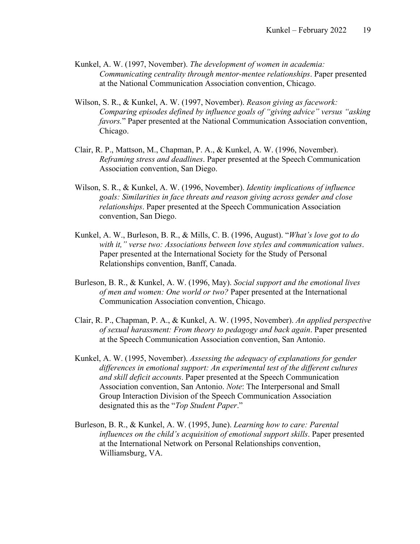- Kunkel, A. W. (1997, November). *The development of women in academia: Communicating centrality through mentor-mentee relationships*. Paper presented at the National Communication Association convention, Chicago.
- Wilson, S. R., & Kunkel, A. W. (1997, November). *Reason giving as facework: Comparing episodes defined by influence goals of "giving advice" versus "asking favors.*" Paper presented at the National Communication Association convention, Chicago.
- Clair, R. P., Mattson, M., Chapman, P. A., & Kunkel, A. W. (1996, November). *Reframing stress and deadlines*. Paper presented at the Speech Communication Association convention, San Diego.
- Wilson, S. R., & Kunkel, A. W. (1996, November). *Identity implications of influence goals: Similarities in face threats and reason giving across gender and close relationships*. Paper presented at the Speech Communication Association convention, San Diego.
- Kunkel, A. W., Burleson, B. R., & Mills, C. B. (1996, August). "*What's love got to do with it," verse two: Associations between love styles and communication values*. Paper presented at the International Society for the Study of Personal Relationships convention, Banff, Canada.
- Burleson, B. R., & Kunkel, A. W. (1996, May). *Social support and the emotional lives of men and women: One world or two?* Paper presented at the International Communication Association convention, Chicago.
- Clair, R. P., Chapman, P. A., & Kunkel, A. W. (1995, November). *An applied perspective of sexual harassment: From theory to pedagogy and back again*. Paper presented at the Speech Communication Association convention, San Antonio.
- Kunkel, A. W. (1995, November). *Assessing the adequacy of explanations for gender differences in emotional support: An experimental test of the different cultures and skill deficit accounts*. Paper presented at the Speech Communication Association convention, San Antonio. *Note*: The Interpersonal and Small Group Interaction Division of the Speech Communication Association designated this as the "*Top Student Paper*."
- Burleson, B. R., & Kunkel, A. W. (1995, June). *Learning how to care: Parental influences on the child's acquisition of emotional support skills*. Paper presented at the International Network on Personal Relationships convention, Williamsburg, VA.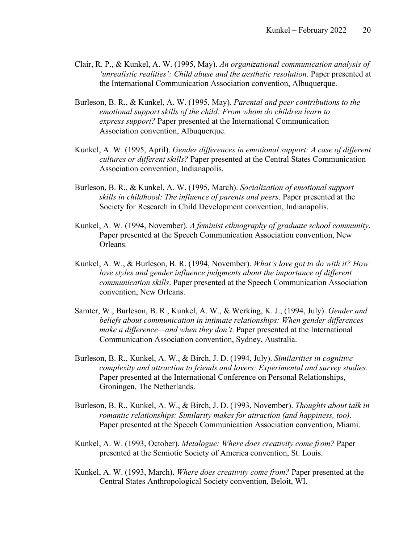- Clair, R. P., & Kunkel, A. W. (1995, May). *An organizational communication analysis of 'unrealistic realities': Child abuse and the aesthetic resolution*. Paper presented at the International Communication Association convention, Albuquerque.
- Burleson, B. R., & Kunkel, A. W. (1995, May). *Parental and peer contributions to the emotional support skills of the child: From whom do children learn to express support?* Paper presented at the International Communication Association convention, Albuquerque.
- Kunkel, A. W. (1995, April). *Gender differences in emotional support: A case of different cultures or different skills?* Paper presented at the Central States Communication Association convention, Indianapolis.
- Burleson, B. R., & Kunkel, A. W. (1995, March). *Socialization of emotional support skills in childhood: The influence of parents and peers*. Paper presented at the Society for Research in Child Development convention, Indianapolis.
- Kunkel, A. W. (1994, November). *A feminist ethnography of graduate school community*. Paper presented at the Speech Communication Association convention, New Orleans.
- Kunkel, A. W., & Burleson, B. R. (1994, November). *What's love got to do with it? How love styles and gender influence judgments about the importance of different communication skills*. Paper presented at the Speech Communication Association convention, New Orleans.
- Samter, W., Burleson, B. R., Kunkel, A. W., & Werking, K. J., (1994, July). *Gender and beliefs about communication in intimate relationships: When gender differences make a difference—and when they don't*. Paper presented at the International Communication Association convention, Sydney, Australia.
- Burleson, B. R., Kunkel, A. W., & Birch, J. D. (1994, July). *Similarities in cognitive complexity and attraction to friends and lovers: Experimental and survey studies*. Paper presented at the International Conference on Personal Relationships, Groningen, The Netherlands.
- Burleson, B. R., Kunkel, A. W., & Birch, J. D. (1993, November). *Thoughts about talk in romantic relationships: Similarity makes for attraction (and happiness, too)*. Paper presented at the Speech Communication Association convention, Miami.
- Kunkel, A. W. (1993, October). *Metalogue: Where does creativity come from?* Paper presented at the Semiotic Society of America convention, St. Louis.
- Kunkel, A. W. (1993, March). *Where does creativity come from?* Paper presented at the Central States Anthropological Society convention, Beloit, WI.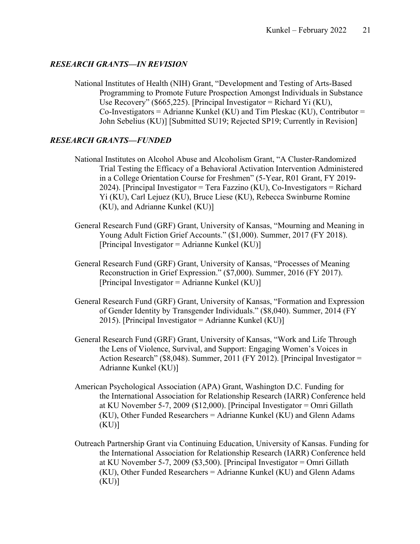### *RESEARCH GRANTS—IN REVISION*

National Institutes of Health (NIH) Grant, "Development and Testing of Arts-Based Programming to Promote Future Prospection Amongst Individuals in Substance Use Recovery" (\$665,225). [Principal Investigator = Richard Yi (KU),  $Co$ -Investigators = Adrianne Kunkel (KU) and Tim Pleskac (KU), Contributor = John Sebelius (KU)] [Submitted SU19; Rejected SP19; Currently in Revision]

# *RESEARCH GRANTS—FUNDED*

- National Institutes on Alcohol Abuse and Alcoholism Grant, "A Cluster-Randomized Trial Testing the Efficacy of a Behavioral Activation Intervention Administered in a College Orientation Course for Freshmen" (5-Year, R01 Grant, FY 2019- 2024). [Principal Investigator = Tera Fazzino (KU), Co-Investigators = Richard Yi (KU), Carl Lejuez (KU), Bruce Liese (KU), Rebecca Swinburne Romine (KU), and Adrianne Kunkel (KU)]
- General Research Fund (GRF) Grant, University of Kansas, "Mourning and Meaning in Young Adult Fiction Grief Accounts." (\$1,000). Summer, 2017 (FY 2018). [Principal Investigator = Adrianne Kunkel (KU)]
- General Research Fund (GRF) Grant, University of Kansas, "Processes of Meaning Reconstruction in Grief Expression." (\$7,000). Summer, 2016 (FY 2017). [Principal Investigator = Adrianne Kunkel  $(KU)$ ]
- General Research Fund (GRF) Grant, University of Kansas, "Formation and Expression of Gender Identity by Transgender Individuals." (\$8,040). Summer, 2014 (FY 2015). [Principal Investigator = Adrianne Kunkel  $(KU)$ ]
- General Research Fund (GRF) Grant, University of Kansas, "Work and Life Through the Lens of Violence, Survival, and Support: Engaging Women's Voices in Action Research" (\$8,048). Summer, 2011 (FY 2012). [Principal Investigator = Adrianne Kunkel (KU)]
- American Psychological Association (APA) Grant, Washington D.C. Funding for the International Association for Relationship Research (IARR) Conference held at KU November 5-7, 2009 (\$12,000). [Principal Investigator = Omri Gillath (KU), Other Funded Researchers = Adrianne Kunkel (KU) and Glenn Adams  $(KU)$ ]
- Outreach Partnership Grant via Continuing Education, University of Kansas. Funding for the International Association for Relationship Research (IARR) Conference held at KU November 5-7, 2009 (\$3,500). [Principal Investigator = Omri Gillath (KU), Other Funded Researchers = Adrianne Kunkel (KU) and Glenn Adams (KU)]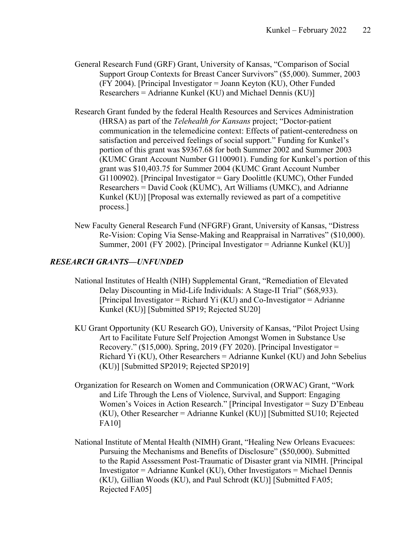- General Research Fund (GRF) Grant, University of Kansas, "Comparison of Social Support Group Contexts for Breast Cancer Survivors" (\$5,000). Summer, 2003 (FY 2004). [Principal Investigator = Joann Keyton (KU), Other Funded Researchers = Adrianne Kunkel (KU) and Michael Dennis (KU)]
- Research Grant funded by the federal Health Resources and Services Administration (HRSA) as part of the *Telehealth for Kansans* project; "Doctor-patient communication in the telemedicine context: Effects of patient-centeredness on satisfaction and perceived feelings of social support." Funding for Kunkel's portion of this grant was \$9367.68 for both Summer 2002 and Summer 2003 (KUMC Grant Account Number G1100901). Funding for Kunkel's portion of this grant was \$10,403.75 for Summer 2004 (KUMC Grant Account Number G1100902). [Principal Investigator = Gary Doolittle (KUMC), Other Funded Researchers = David Cook (KUMC), Art Williams (UMKC), and Adrianne Kunkel (KU)] [Proposal was externally reviewed as part of a competitive process.]
- New Faculty General Research Fund (NFGRF) Grant, University of Kansas, "Distress Re-Vision: Coping Via Sense-Making and Reappraisal in Narratives" (\$10,000). Summer, 2001 (FY 2002). [Principal Investigator = Adrianne Kunkel (KU)]

### *RESEARCH GRANTS—UNFUNDED*

- National Institutes of Health (NIH) Supplemental Grant, "Remediation of Elevated Delay Discounting in Mid-Life Individuals: A Stage-II Trial" (\$68,933). [Principal Investigator = Richard Yi (KU) and Co-Investigator = Adrianne Kunkel (KU)] [Submitted SP19; Rejected SU20]
- KU Grant Opportunity (KU Research GO), University of Kansas, "Pilot Project Using Art to Facilitate Future Self Projection Amongst Women in Substance Use Recovery." (\$15,000). Spring, 2019 (FY 2020). [Principal Investigator = Richard Yi (KU), Other Researchers = Adrianne Kunkel (KU) and John Sebelius (KU)] [Submitted SP2019; Rejected SP2019]
- Organization for Research on Women and Communication (ORWAC) Grant, "Work and Life Through the Lens of Violence, Survival, and Support: Engaging Women's Voices in Action Research." [Principal Investigator = Suzy D'Enbeau (KU), Other Researcher = Adrianne Kunkel (KU)] [Submitted SU10; Rejected FA10]
- National Institute of Mental Health (NIMH) Grant, "Healing New Orleans Evacuees: Pursuing the Mechanisms and Benefits of Disclosure" (\$50,000). Submitted to the Rapid Assessment Post-Traumatic of Disaster grant via NIMH. [Principal Investigator = Adrianne Kunkel (KU), Other Investigators = Michael Dennis (KU), Gillian Woods (KU), and Paul Schrodt (KU)] [Submitted FA05; Rejected FA05]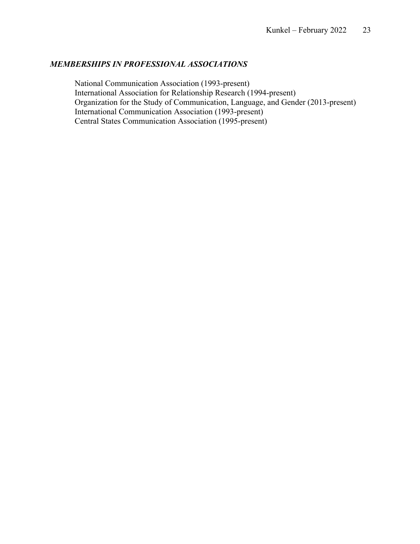### *MEMBERSHIPS IN PROFESSIONAL ASSOCIATIONS*

National Communication Association (1993-present) International Association for Relationship Research (1994-present) Organization for the Study of Communication, Language, and Gender (2013-present) International Communication Association (1993-present) Central States Communication Association (1995-present)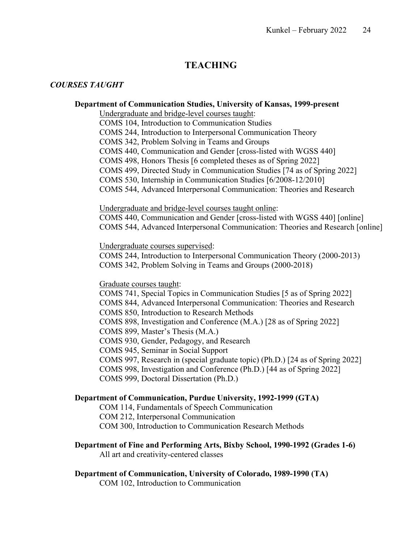# **TEACHING**

### *COURSES TAUGHT*

### **Department of Communication Studies, University of Kansas, 1999-present**

Undergraduate and bridge-level courses taught:

COMS 104, Introduction to Communication Studies

COMS 244, Introduction to Interpersonal Communication Theory

COMS 342, Problem Solving in Teams and Groups

COMS 440, Communication and Gender [cross-listed with WGSS 440]

COMS 498, Honors Thesis [6 completed theses as of Spring 2022]

COMS 499, Directed Study in Communication Studies [74 as of Spring 2022]

COMS 530, Internship in Communication Studies [6/2008-12/2010]

COMS 544, Advanced Interpersonal Communication: Theories and Research

Undergraduate and bridge-level courses taught online:

COMS 440, Communication and Gender [cross-listed with WGSS 440] [online] COMS 544, Advanced Interpersonal Communication: Theories and Research [online]

Undergraduate courses supervised:

COMS 244, Introduction to Interpersonal Communication Theory (2000-2013) COMS 342, Problem Solving in Teams and Groups (2000-2018)

Graduate courses taught:

COMS 741, Special Topics in Communication Studies [5 as of Spring 2022] COMS 844, Advanced Interpersonal Communication: Theories and Research COMS 850, Introduction to Research Methods COMS 898, Investigation and Conference (M.A.) [28 as of Spring 2022] COMS 899, Master's Thesis (M.A.) COMS 930, Gender, Pedagogy, and Research COMS 945, Seminar in Social Support COMS 997, Research in (special graduate topic) (Ph.D.) [24 as of Spring 2022] COMS 998, Investigation and Conference (Ph.D.) [44 as of Spring 2022] COMS 999, Doctoral Dissertation (Ph.D.)

### **Department of Communication, Purdue University, 1992-1999 (GTA)**

COM 114, Fundamentals of Speech Communication

COM 212, Interpersonal Communication

COM 300, Introduction to Communication Research Methods

**Department of Fine and Performing Arts, Bixby School, 1990-1992 (Grades 1-6)** All art and creativity-centered classes

### **Department of Communication, University of Colorado, 1989-1990 (TA)**

COM 102, Introduction to Communication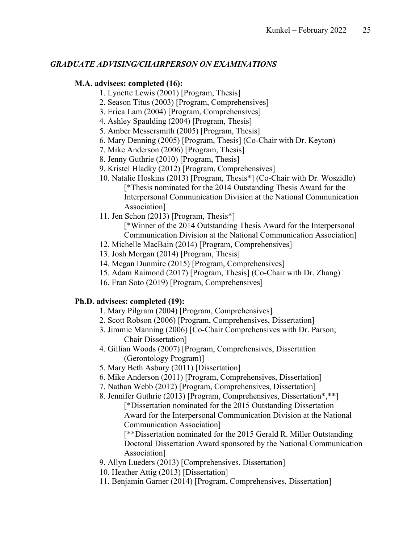# *GRADUATE ADVISING/CHAIRPERSON ON EXAMINATIONS*

# **M.A. advisees: completed (16):**

- 1. Lynette Lewis (2001) [Program, Thesis]
- 2. Season Titus (2003) [Program, Comprehensives]
- 3. Erica Lam (2004) [Program, Comprehensives]
- 4. Ashley Spaulding (2004) [Program, Thesis]
- 5. Amber Messersmith (2005) [Program, Thesis]
- 6. Mary Denning (2005) [Program, Thesis] (Co-Chair with Dr. Keyton)
- 7. Mike Anderson (2006) [Program, Thesis]
- 8. Jenny Guthrie (2010) [Program, Thesis]
- 9. Kristel Hladky (2012) [Program, Comprehensives]
- 10. Natalie Hoskins (2013) [Program, Thesis\*] (Co-Chair with Dr. Woszidlo) [\*Thesis nominated for the 2014 Outstanding Thesis Award for the Interpersonal Communication Division at the National Communication Association]
- 11. Jen Schon (2013) [Program, Thesis\*] [\*Winner of the 2014 Outstanding Thesis Award for the Interpersonal Communication Division at the National Communication Association]
- 12. Michelle MacBain (2014) [Program, Comprehensives]
- 13. Josh Morgan (2014) [Program, Thesis]
- 14. Megan Dunmire (2015) [Program, Comprehensives]
- 15. Adam Raimond (2017) [Program, Thesis] (Co-Chair with Dr. Zhang)
- 16. Fran Soto (2019) [Program, Comprehensives]

# **Ph.D. advisees: completed (19):**

- 1. Mary Pilgram (2004) [Program, Comprehensives]
- 2. Scott Robson (2006) [Program, Comprehensives, Dissertation]
- 3. Jimmie Manning (2006) [Co-Chair Comprehensives with Dr. Parson; Chair Dissertation]
- 4. Gillian Woods (2007) [Program, Comprehensives, Dissertation (Gerontology Program)]
- 5. Mary Beth Asbury (2011) [Dissertation]
- 6. Mike Anderson (2011) [Program, Comprehensives, Dissertation]
- 7. Nathan Webb (2012) [Program, Comprehensives, Dissertation]

8. Jennifer Guthrie (2013) [Program, Comprehensives, Dissertation\*,\*\*]

[\*Dissertation nominated for the 2015 Outstanding Dissertation Award for the Interpersonal Communication Division at the National Communication Association]

[\*\*Dissertation nominated for the 2015 Gerald R. Miller Outstanding Doctoral Dissertation Award sponsored by the National Communication Association]

- 9. Allyn Lueders (2013) [Comprehensives, Dissertation]
- 10. Heather Attig (2013) [Dissertation]
- 11. Benjamin Garner (2014) [Program, Comprehensives, Dissertation]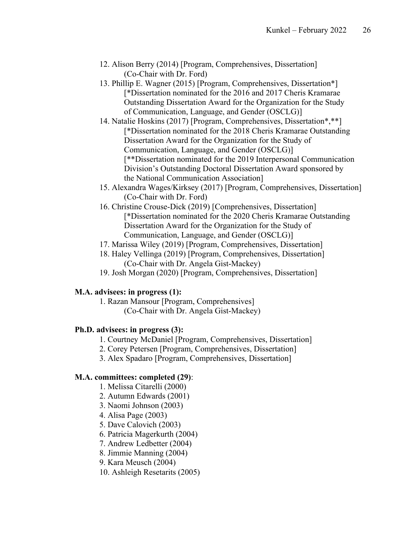- 12. Alison Berry (2014) [Program, Comprehensives, Dissertation] (Co-Chair with Dr. Ford)
- 13. Phillip E. Wagner (2015) [Program, Comprehensives, Dissertation\*] [\*Dissertation nominated for the 2016 and 2017 Cheris Kramarae Outstanding Dissertation Award for the Organization for the Study of Communication, Language, and Gender (OSCLG)]
- 14. Natalie Hoskins (2017) [Program, Comprehensives, Dissertation\*,\*\*] [\*Dissertation nominated for the 2018 Cheris Kramarae Outstanding Dissertation Award for the Organization for the Study of Communication, Language, and Gender (OSCLG)] [\*\*Dissertation nominated for the 2019 Interpersonal Communication Division's Outstanding Doctoral Dissertation Award sponsored by the National Communication Association]
- 15. Alexandra Wages/Kirksey (2017) [Program, Comprehensives, Dissertation] (Co-Chair with Dr. Ford)
- 16. Christine Crouse-Dick (2019) [Comprehensives, Dissertation] [\*Dissertation nominated for the 2020 Cheris Kramarae Outstanding Dissertation Award for the Organization for the Study of Communication, Language, and Gender (OSCLG)]
- 17. Marissa Wiley (2019) [Program, Comprehensives, Dissertation]
- 18. Haley Vellinga (2019) [Program, Comprehensives, Dissertation] (Co-Chair with Dr. Angela Gist-Mackey)
- 19. Josh Morgan (2020) [Program, Comprehensives, Dissertation]

## **M.A. advisees: in progress (1):**

1. Razan Mansour [Program, Comprehensives] (Co-Chair with Dr. Angela Gist-Mackey)

## **Ph.D. advisees: in progress (3):**

- 1. Courtney McDaniel [Program, Comprehensives, Dissertation]
- 2. Corey Petersen [Program, Comprehensives, Dissertation]
- 3. Alex Spadaro [Program, Comprehensives, Dissertation]

## **M.A. committees: completed (29)**:

- 1. Melissa Citarelli (2000)
- 2. Autumn Edwards (2001)
- 3. Naomi Johnson (2003)
- 4. Alisa Page (2003)
- 5. Dave Calovich (2003)
- 6. Patricia Magerkurth (2004)
- 7. Andrew Ledbetter (2004)
- 8. Jimmie Manning (2004)
- 9. Kara Meusch (2004)
- 10. Ashleigh Resetarits (2005)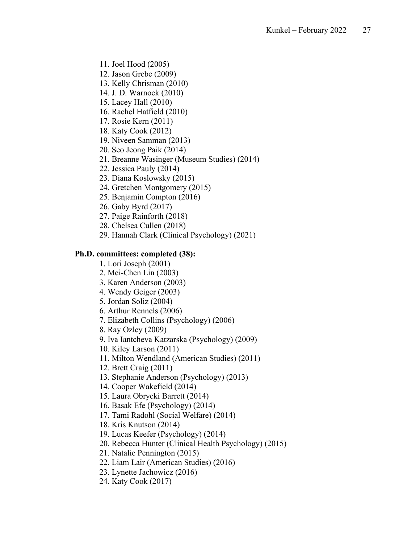- 11. Joel Hood (2005)
- 12. Jason Grebe (2009)
- 13. Kelly Chrisman (2010)
- 14. J. D. Warnock (2010)
- 15. Lacey Hall (2010)
- 16. Rachel Hatfield (2010)
- 17. Rosie Kern (2011)
- 18. Katy Cook (2012)
- 19. Niveen Samman (2013)
- 20. Seo Jeong Paik (2014)
- 21. Breanne Wasinger (Museum Studies) (2014)
- 22. Jessica Pauly (2014)
- 23. Diana Koslowsky (2015)
- 24. Gretchen Montgomery (2015)
- 25. Benjamin Compton (2016)
- 26. Gaby Byrd (2017)
- 27. Paige Rainforth (2018)
- 28. Chelsea Cullen (2018)
- 29. Hannah Clark (Clinical Psychology) (2021)

### **Ph.D. committees: completed (38):**

- 1. Lori Joseph (2001)
- 2. Mei-Chen Lin (2003)
- 3. Karen Anderson (2003)
- 4. Wendy Geiger (2003)
- 5. Jordan Soliz (2004)
- 6. Arthur Rennels (2006)
- 7. Elizabeth Collins (Psychology) (2006)
- 8. Ray Ozley (2009)
- 9. Iva Iantcheva Katzarska (Psychology) (2009)
- 10. Kiley Larson (2011)
- 11. Milton Wendland (American Studies) (2011)
- 12. Brett Craig (2011)
- 13. Stephanie Anderson (Psychology) (2013)
- 14. Cooper Wakefield (2014)
- 15. Laura Obrycki Barrett (2014)
- 16. Basak Efe (Psychology) (2014)
- 17. Tami Radohl (Social Welfare) (2014)
- 18. Kris Knutson (2014)
- 19. Lucas Keefer (Psychology) (2014)
- 20. Rebecca Hunter (Clinical Health Psychology) (2015)
- 21. Natalie Pennington (2015)
- 22. Liam Lair (American Studies) (2016)
- 23. Lynette Jachowicz (2016)
- 24. Katy Cook (2017)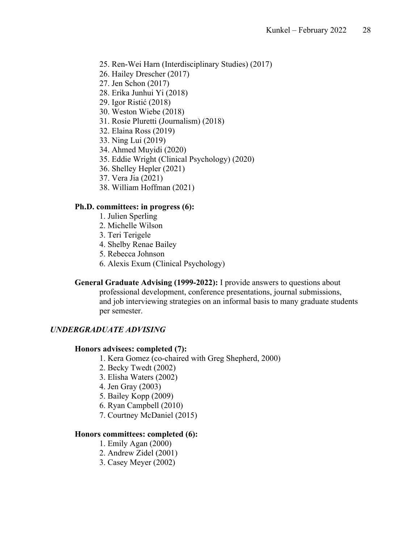- 25. Ren-Wei Harn (Interdisciplinary Studies) (2017)
- 26. Hailey Drescher (2017)
- 27. Jen Schon (2017)
- 28. Erika Junhui Yi (2018)
- 29. Igor Ristić (2018)
- 30. Weston Wiebe (2018)
- 31. Rosie Pluretti (Journalism) (2018)
- 32. Elaina Ross (2019)
- 33. Ning Lui (2019)
- 34. Ahmed Muyidi (2020)
- 35. Eddie Wright (Clinical Psychology) (2020)
- 36. Shelley Hepler (2021)
- 37. Vera Jia (2021)
- 38. William Hoffman (2021)

### **Ph.D. committees: in progress (6):**

- 1. Julien Sperling
- 2. Michelle Wilson
- 3. Teri Terigele
- 4. Shelby Renae Bailey
- 5. Rebecca Johnson
- 6. Alexis Exum (Clinical Psychology)

**General Graduate Advising (1999-2022):** I provide answers to questions about professional development, conference presentations, journal submissions, and job interviewing strategies on an informal basis to many graduate students per semester.

### *UNDERGRADUATE ADVISING*

#### **Honors advisees: completed (7):**

- 1. Kera Gomez (co-chaired with Greg Shepherd, 2000)
- 2. Becky Twedt (2002)
- 3. Elisha Waters (2002)
- 4. Jen Gray (2003)
- 5. Bailey Kopp (2009)
- 6. Ryan Campbell (2010)
- 7. Courtney McDaniel (2015)

#### **Honors committees: completed (6):**

- 1. Emily Agan (2000)
- 2. Andrew Zidel (2001)
- 3. Casey Meyer (2002)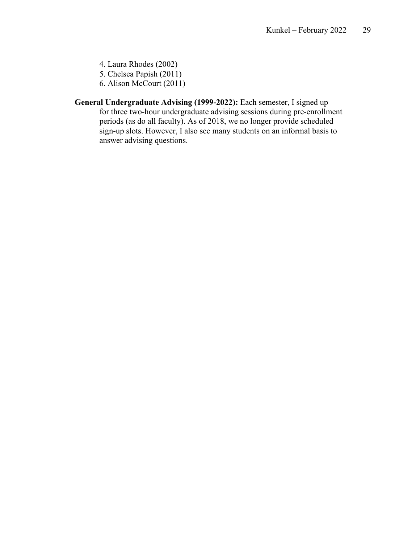- 4. Laura Rhodes (2002)
- 5. Chelsea Papish (2011)
- 6. Alison McCourt (2011)
- **General Undergraduate Advising (1999-2022):** Each semester, I signed up for three two-hour undergraduate advising sessions during pre-enrollment periods (as do all faculty). As of 2018, we no longer provide scheduled sign-up slots. However, I also see many students on an informal basis to answer advising questions.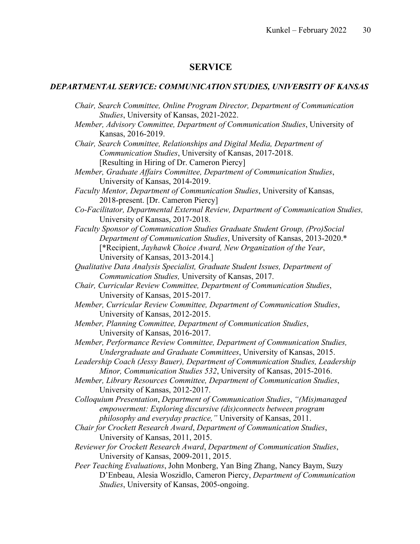### **SERVICE**

### *DEPARTMENTAL SERVICE: COMMUNICATION STUDIES, UNIVERSITY OF KANSAS*

*Chair, Search Committee, Online Program Director, Department of Communication Studies*, University of Kansas, 2021-2022. *Member, Advisory Committee, Department of Communication Studies*, University of Kansas, 2016-2019. *Chair, Search Committee, Relationships and Digital Media, Department of Communication Studies*, University of Kansas, 2017-2018. [Resulting in Hiring of Dr. Cameron Piercy] *Member, Graduate Affairs Committee, Department of Communication Studies*, University of Kansas, 2014-2019. *Faculty Mentor, Department of Communication Studies*, University of Kansas, 2018-present. [Dr. Cameron Piercy] *Co-Facilitator, Departmental External Review, Department of Communication Studies,* University of Kansas, 2017-2018. *Faculty Sponsor of Communication Studies Graduate Student Group, (Pro)Social Department of Communication Studies*, University of Kansas, 2013-2020.\* [\*Recipient, *Jayhawk Choice Award, New Organization of the Year*, University of Kansas, 2013-2014.] *Qualitative Data Analysis Specialist, Graduate Student Issues, Department of Communication Studies,* University of Kansas, 2017. *Chair, Curricular Review Committee, Department of Communication Studies*, University of Kansas, 2015-2017. *Member, Curricular Review Committee, Department of Communication Studies*, University of Kansas, 2012-2015. *Member, Planning Committee, Department of Communication Studies*, University of Kansas, 2016-2017. *Member, Performance Review Committee, Department of Communication Studies, Undergraduate and Graduate Committees*, University of Kansas, 2015. *Leadership Coach (Jessy Bauer), Department of Communication Studies, Leadership Minor, Communication Studies 532*, University of Kansas, 2015-2016. *Member, Library Resources Committee, Department of Communication Studies*, University of Kansas, 2012-2017. *Colloquium Presentation*, *Department of Communication Studies*, *"(Mis)managed empowerment: Exploring discursive (dis)connects between program philosophy and everyday practice,"* University of Kansas, 2011. *Chair for Crockett Research Award*, *Department of Communication Studies*, University of Kansas, 2011, 2015. *Reviewer for Crockett Research Award*, *Department of Communication Studies*, University of Kansas, 2009-2011, 2015. *Peer Teaching Evaluations*, John Monberg, Yan Bing Zhang, Nancy Baym, Suzy D'Enbeau, Alesia Woszidlo, Cameron Piercy, *Department of Communication Studies*, University of Kansas, 2005-ongoing.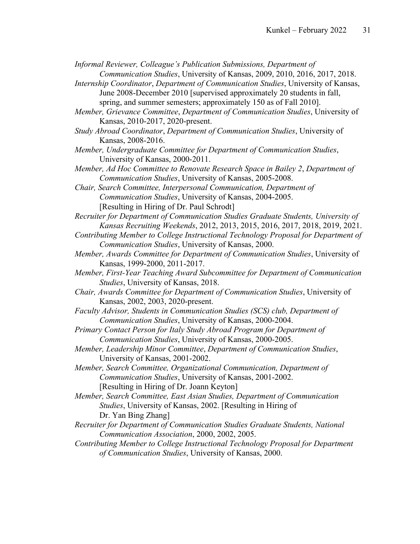*Informal Reviewer, Colleague's Publication Submissions, Department of Communication Studies*, University of Kansas, 2009, 2010, 2016, 2017, 2018.

*Internship Coordinator*, *Department of Communication Studies*, University of Kansas, June 2008-December 2010 [supervised approximately 20 students in fall, spring, and summer semesters; approximately 150 as of Fall 2010].

*Member, Grievance Committee*, *Department of Communication Studies*, University of Kansas, 2010-2017, 2020-present.

*Study Abroad Coordinator*, *Department of Communication Studies*, University of Kansas, 2008-2016.

*Member, Undergraduate Committee for Department of Communication Studies*, University of Kansas, 2000-2011.

*Member, Ad Hoc Committee to Renovate Research Space in Bailey 2*, *Department of Communication Studies*, University of Kansas, 2005-2008.

*Chair, Search Committee, Interpersonal Communication, Department of Communication Studies*, University of Kansas, 2004-2005. [Resulting in Hiring of Dr. Paul Schrodt]

*Recruiter for Department of Communication Studies Graduate Students, University of Kansas Recruiting Weekends*, 2012, 2013, 2015, 2016, 2017, 2018, 2019, 2021.

- *Contributing Member to College Instructional Technology Proposal for Department of Communication Studies*, University of Kansas, 2000.
- *Member, Awards Committee for Department of Communication Studies*, University of Kansas, 1999-2000, 2011-2017.
- *Member, First-Year Teaching Award Subcommittee for Department of Communication Studies*, University of Kansas, 2018.
- *Chair, Awards Committee for Department of Communication Studies*, University of Kansas, 2002, 2003, 2020-present.
- *Faculty Advisor, Students in Communication Studies (SCS) club, Department of Communication Studies*, University of Kansas, 2000-2004.
- *Primary Contact Person for Italy Study Abroad Program for Department of Communication Studies*, University of Kansas, 2000-2005.
- *Member, Leadership Minor Committee*, *Department of Communication Studies*, University of Kansas, 2001-2002.
- *Member, Search Committee, Organizational Communication, Department of Communication Studies*, University of Kansas, 2001-2002. [Resulting in Hiring of Dr. Joann Keyton]

*Member, Search Committee, East Asian Studies, Department of Communication Studies*, University of Kansas, 2002. [Resulting in Hiring of Dr. Yan Bing Zhang]

- *Recruiter for Department of Communication Studies Graduate Students, National Communication Association*, 2000, 2002, 2005.
- *Contributing Member to College Instructional Technology Proposal for Department of Communication Studies*, University of Kansas, 2000.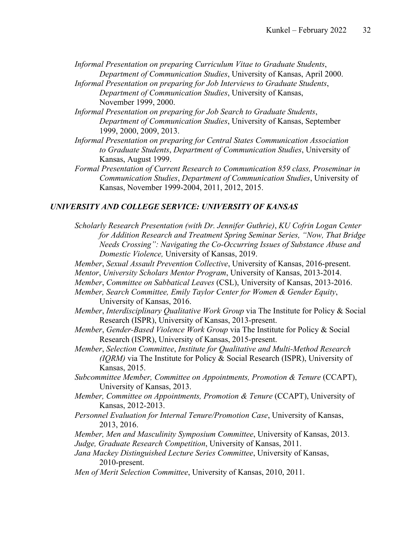*Informal Presentation on preparing Curriculum Vitae to Graduate Students*, *Department of Communication Studies*, University of Kansas, April 2000.

- *Informal Presentation on preparing for Job Interviews to Graduate Students*, *Department of Communication Studies*, University of Kansas, November 1999, 2000.
- *Informal Presentation on preparing for Job Search to Graduate Students*, *Department of Communication Studies*, University of Kansas, September 1999, 2000, 2009, 2013.
- *Informal Presentation on preparing for Central States Communication Association to Graduate Students*, *Department of Communication Studies*, University of Kansas, August 1999.
- *Formal Presentation of Current Research to Communication 859 class, Proseminar in Communication Studies*, *Department of Communication Studies*, University of Kansas, November 1999-2004, 2011, 2012, 2015.

### *UNIVERSITY AND COLLEGE SERVICE: UNIVERSITY OF KANSAS*

- *Scholarly Research Presentation (with Dr. Jennifer Guthrie)*, *KU Cofrin Logan Center for Addition Research and Treatment Spring Seminar Series, "Now, That Bridge Needs Crossing": Navigating the Co-Occurring Issues of Substance Abuse and Domestic Violence,* University of Kansas, 2019.
- *Member*, *Sexual Assault Prevention Collective*, University of Kansas, 2016-present.
- *Mentor*, *University Scholars Mentor Program*, University of Kansas, 2013-2014.
- *Member*, *Committee on Sabbatical Leaves* (CSL), University of Kansas, 2013-2016.
- *Member, Search Committee, Emily Taylor Center for Women & Gender Equity*, University of Kansas, 2016.
- *Member*, *Interdisciplinary Qualitative Work Group* via The Institute for Policy & Social Research (ISPR), University of Kansas, 2013-present.
- *Member*, *Gender-Based Violence Work Group* via The Institute for Policy & Social Research (ISPR), University of Kansas, 2015-present.
- *Member*, *Selection Committee*, *Institute for Qualitative and Multi-Method Research (IQRM)* via The Institute for Policy & Social Research (ISPR), University of Kansas, 2015.
- *Subcommittee Member, Committee on Appointments, Promotion & Tenure* (CCAPT), University of Kansas, 2013.
- *Member, Committee on Appointments, Promotion & Tenure* (CCAPT), University of Kansas, 2012-2013.
- *Personnel Evaluation for Internal Tenure/Promotion Case*, University of Kansas, 2013, 2016.
- *Member, Men and Masculinity Symposium Committee*, University of Kansas, 2013. *Judge, Graduate Research Competition*, University of Kansas, 2011.
- *Jana Mackey Distinguished Lecture Series Committee*, University of Kansas, 2010-present.
- *Men of Merit Selection Committee*, University of Kansas, 2010, 2011.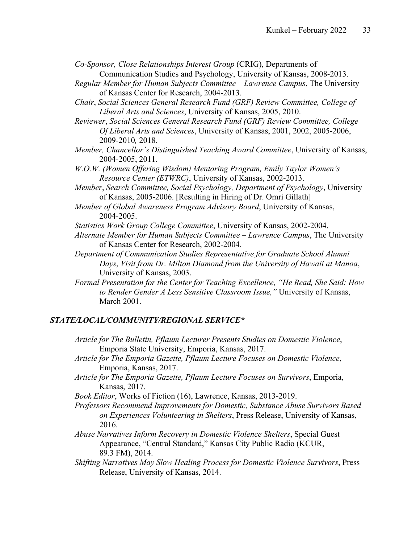*Co-Sponsor, Close Relationships Interest Group* (CRIG), Departments of Communication Studies and Psychology, University of Kansas, 2008-2013.

- *Regular Member for Human Subjects Committee – Lawrence Campus*, The University of Kansas Center for Research, 2004-2013.
- *Chair*, *Social Sciences General Research Fund (GRF) Review Committee, College of Liberal Arts and Sciences*, University of Kansas, 2005, 2010.

*Reviewer*, *Social Sciences General Research Fund (GRF) Review Committee, College Of Liberal Arts and Sciences*, University of Kansas, 2001, 2002, 2005-2006, 2009-2010*,* 2018.

- *Member, Chancellor's Distinguished Teaching Award Committee*, University of Kansas, 2004-2005, 2011.
- *W.O.W. (Women Offering Wisdom) Mentoring Program, Emily Taylor Women's Resource Center (ETWRC)*, University of Kansas, 2002-2013.
- *Member*, *Search Committee, Social Psychology, Department of Psychology*, University of Kansas, 2005-2006. [Resulting in Hiring of Dr. Omri Gillath]
- *Member of Global Awareness Program Advisory Board*, University of Kansas, 2004-2005.
- *Statistics Work Group College Committee*, University of Kansas, 2002-2004.
- *Alternate Member for Human Subjects Committee – Lawrence Campus*, The University of Kansas Center for Research, 2002-2004.
- *Department of Communication Studies Representative for Graduate School Alumni Days*, *Visit from Dr. Milton Diamond from the University of Hawaii at Manoa*, University of Kansas, 2003.
- *Formal Presentation for the Center for Teaching Excellence, "He Read, She Said: How to Render Gender A Less Sensitive Classroom Issue,"* University of Kansas, March 2001.

## *STATE/LOCAL/COMMUNITY/REGIONAL SERVICE\**

- *Article for The Bulletin, Pflaum Lecturer Presents Studies on Domestic Violence*, Emporia State University, Emporia, Kansas, 2017.
- *Article for The Emporia Gazette, Pflaum Lecture Focuses on Domestic Violence*, Emporia, Kansas, 2017.
- *Article for The Emporia Gazette, Pflaum Lecture Focuses on Survivors*, Emporia, Kansas, 2017.
- *Book Editor*, Works of Fiction (16), Lawrence, Kansas, 2013-2019.
- *Professors Recommend Improvements for Domestic, Substance Abuse Survivors Based on Experiences Volunteering in Shelters*, Press Release, University of Kansas, 2016.
- *Abuse Narratives Inform Recovery in Domestic Violence Shelters*, Special Guest Appearance, "Central Standard," Kansas City Public Radio (KCUR, 89.3 FM), 2014.
- *Shifting Narratives May Slow Healing Process for Domestic Violence Survivors*, Press Release, University of Kansas, 2014.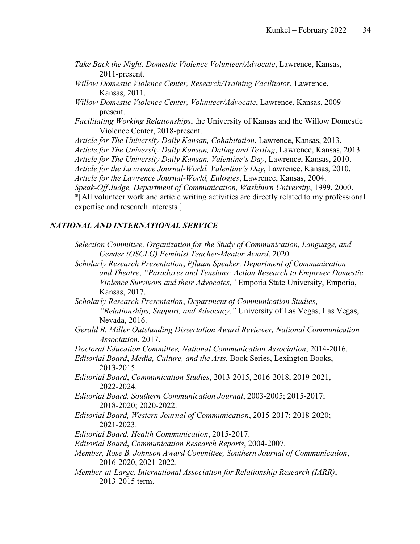- *Take Back the Night, Domestic Violence Volunteer/Advocate*, Lawrence, Kansas, 2011-present.
- *Willow Domestic Violence Center, Research/Training Facilitator*, Lawrence, Kansas, 2011.
- *Willow Domestic Violence Center, Volunteer/Advocate*, Lawrence, Kansas, 2009 present.
- *Facilitating Working Relationships*, the University of Kansas and the Willow Domestic Violence Center, 2018-present.

*Article for The University Daily Kansan, Cohabitation*, Lawrence, Kansas, 2013. *Article for The University Daily Kansan, Dating and Texting*, Lawrence, Kansas, 2013. *Article for The University Daily Kansan, Valentine's Day*, Lawrence, Kansas, 2010. *Article for the Lawrence Journal-World, Valentine's Day*, Lawrence, Kansas, 2010. *Article for the Lawrence Journal-World, Eulogies*, Lawrence, Kansas, 2004. *Speak-Off Judge, Department of Communication, Washburn University*, 1999, 2000. \*[All volunteer work and article writing activities are directly related to my professional expertise and research interests.]

### *NATIONAL AND INTERNATIONAL SERVICE*

- *Selection Committee, Organization for the Study of Communication, Language, and Gender (OSCLG) Feminist Teacher-Mentor Award*, 2020.
- *Scholarly Research Presentation*, *Pflaum Speaker, Department of Communication and Theatre*, *"Paradoxes and Tensions: Action Research to Empower Domestic Violence Survivors and their Advocates,"* Emporia State University, Emporia, Kansas, 2017.
- *Scholarly Research Presentation*, *Department of Communication Studies*, *"Relationships, Support, and Advocacy,"* University of Las Vegas, Las Vegas, Nevada, 2016.
- *Gerald R. Miller Outstanding Dissertation Award Reviewer, National Communication Association*, 2017.
- *Doctoral Education Committee, National Communication Association*, 2014-2016.
- *Editorial Board*, *Media, Culture, and the Arts*, Book Series, Lexington Books, 2013-2015.
- *Editorial Board*, *Communication Studies*, 2013-2015, 2016-2018, 2019-2021, 2022-2024.
- *Editorial Board, Southern Communication Journal*, 2003-2005; 2015-2017; 2018-2020; 2020-2022.
- *Editorial Board, Western Journal of Communication*, 2015-2017; 2018-2020; 2021-2023.
- *Editorial Board, Health Communication*, 2015-2017.
- *Editorial Board*, *Communication Research Reports*, 2004-2007.
- *Member, Rose B. Johnson Award Committee, Southern Journal of Communication*, 2016-2020, 2021-2022.
- *Member-at-Large, International Association for Relationship Research (IARR)*, 2013-2015 term.